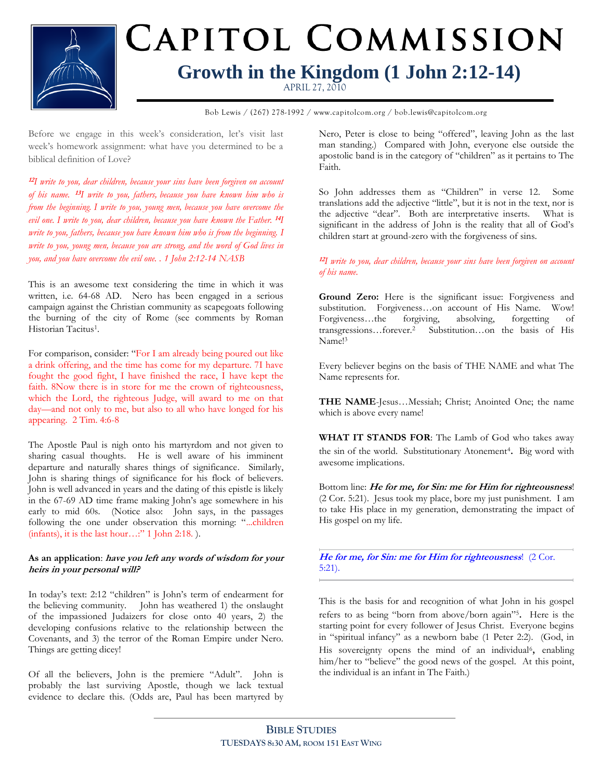

# CAPITOL COMMISSION **Growth in the Kingdom (1 John 2:12-14)**

APRIL 27, 2010

**Bible Study Title** Bob Lewis / (267) 278-1992 / www.capitolcom.org / bob.lewis@capitolcom.org

Before we engage in this week's consideration, let's visit last week's homework assignment: what have you determined to be a biblical definition of Love?

**12** *I write to you, dear children, because your sins have been forgiven on account of his name.* **<sup>13</sup>** *I write to you, fathers, because you have known him who is from the beginning. I write to you, young men, because you have overcome the evil one. I write to you, dear children, because you have known the Father.* **<sup>14</sup>** *I write to you, fathers, because you have known him who is from the beginning. I write to you, young men, because you are strong, and the word of God lives in you, and you have overcome the evil one. . 1 John 2:12-14 NASB*

This is an awesome text considering the time in which it was written, i.e. 64-68 AD. Nero has been engaged in a serious campaign against the Christian community as scapegoats following the burning of the city of Rome (see comments by Roman Historian Tacitus<sup>1</sup>.

For comparison, consider: "For I am already being poured out like a drink offering, and the time has come for my departure. 7I have fought the good fight, I have finished the race, I have kept the faith. 8Now there is in store for me the crown of righteousness, which the Lord, the righteous Judge, will award to me on that day—and not only to me, but also to all who have longed for his appearing. 2 Tim. 4:6-8

The Apostle Paul is nigh onto his martyrdom and not given to sharing casual thoughts. He is well aware of his imminent departure and naturally shares things of significance. Similarly, John is sharing things of significance for his flock of believers. John is well advanced in years and the dating of this epistle is likely in the 67-69 AD time frame making John's age somewhere in his early to mid 60s. (Notice also: John says, in the passages following the one under observation this morning: "...children  $(infants)$ , it is the last hour…:" 1 John 2:18. ).

### **As an application**: **have you left any words of wisdom for your heirs in your personal will?**

In today's text: 2:12 "children" is John's term of endearment for the believing community. John has weathered 1) the onslaught of the impassioned Judaizers for close onto 40 years, 2) the developing confusions relative to the relationship between the Covenants, and 3) the terror of the Roman Empire under Nero. Things are getting dicey!

Of all the believers, John is the premiere "Adult". John is probably the last surviving Apostle, though we lack textual evidence to declare this. (Odds are, Paul has been martyred by Nero, Peter is close to being "offered", leaving John as the last man standing.) Compared with John, everyone else outside the apostolic band is in the category of "children" as it pertains to The Faith.

So John addresses them as "Children" in verse 12. Some translations add the adjective "little", but it is not in the text, nor is the adjective "dear". Both are interpretative inserts. What is significant in the address of John is the reality that all of God's children start at ground-zero with the forgiveness of sins.

## **12** *I write to you, dear children, because your sins have been forgiven on account of his name.*

**Ground Zero:** Here is the significant issue: Forgiveness and substitution. Forgiveness…on account of His Name. Wow! Forgiveness…the forgiving, absolving, forgetting of transgressions…forever.<sup>2</sup> Substitution…on the basis of His Name!<sup>3</sup>

Every believer begins on the basis of THE NAME and what The Name represents for.

**THE NAME**-Jesus…Messiah; Christ; Anointed One; the name which is above every name!

**WHAT IT STANDS FOR**: The Lamb of God who takes away the sin of the world. Substitutionary Atonement<sup>4</sup>. Big word with awesome implications.

Bottom line: **He for me, for Sin: me for Him for righteousness**! (2 Cor. 5:21). Jesus took my place, bore my just punishment. I am to take His place in my generation, demonstrating the impact of His gospel on my life.

**He for me, for Sin: me for Him for righteousness**! (2 Cor. 5:21).

This is the basis for and recognition of what John in his gospel refers to as being "born from above/born again"<sup>5</sup> . Here is the starting point for every follower of Jesus Christ. Everyone begins in "spiritual infancy" as a newborn babe (1 Peter 2:2). (God, in His sovereignty opens the mind of an individual<sup>6</sup>, enabling him/her to "believe" the good news of the gospel. At this point, the individual is an infant in The Faith.)